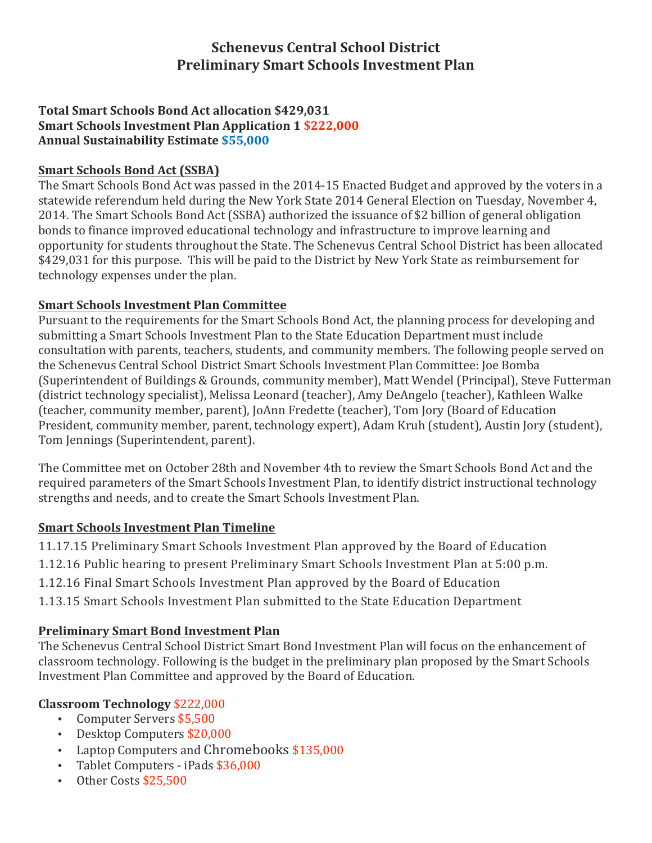# **Schenevus Central School District Preliminary Smart Schools Investment Plan**

#### **Total Smart Schools Bond Act allocation \$429,031 Smart Schools Investment Plan Application 1 \$222,000 Annual Sustainability Estimate \$55,000**

## **Smart Schools Bond Act (SSBA)**

The Smart Schools Bond Act was passed in the 2014-15 Enacted Budget and approved by the voters in a statewide referendum held during the New York State 2014 General Election on Tuesday, November 4, 2014. The Smart Schools Bond Act (SSBA) authorized the issuance of \$2 billion of general obligation bonds to finance improved educational technology and infrastructure to improve learning and opportunity for students throughout the State. The Schenevus Central School District has been allocated \$429,031 for this purpose. This will be paid to the District by New York State as reimbursement for technology expenses under the plan.

### **Smart Schools Investment Plan Committee**

Pursuant to the requirements for the Smart Schools Bond Act, the planning process for developing and submitting a Smart Schools Investment Plan to the State Education Department must include consultation with parents, teachers, students, and community members. The following people served on the Schenevus Central School District Smart Schools Investment Plan Committee: Joe Bomba (Superintendent of Buildings & Grounds, community member), Matt Wendel (Principal), Steve Futterman (district technology specialist), Melissa Leonard (teacher), Amy DeAngelo (teacher), Kathleen Walke (teacher, community member, parent), JoAnn Fredette (teacher), Tom Jory (Board of Education President, community member, parent, technology expert), Adam Kruh (student), Austin Jory (student), Tom Jennings (Superintendent, parent).

The Committee met on October 28th and November 4th to review the Smart Schools Bond Act and the required parameters of the Smart Schools Investment Plan, to identify district instructional technology strengths and needs, and to create the Smart Schools Investment Plan.

## **Smart Schools Investment Plan Timeline**

11.17.15 Preliminary Smart Schools Investment Plan approved by the Board of Education 1.12.16 Public hearing to present Preliminary Smart Schools Investment Plan at 5:00 p.m. 1.12.16 Final Smart Schools Investment Plan approved by the Board of Education 1.13.15 Smart Schools Investment Plan submitted to the State Education Department

## **Preliminary Smart Bond Investment Plan**

The Schenevus Central School District Smart Bond Investment Plan will focus on the enhancement of classroom technology. Following is the budget in the preliminary plan proposed by the Smart Schools Investment Plan Committee and approved by the Board of Education.

## **Classroom Technology** \$222,000

- Computer Servers \$5,500
- Desktop Computers \$20,000
- Laptop Computers and Chromebooks \$135,000
- Tablet Computers iPads \$36,000
- Other Costs \$25,500